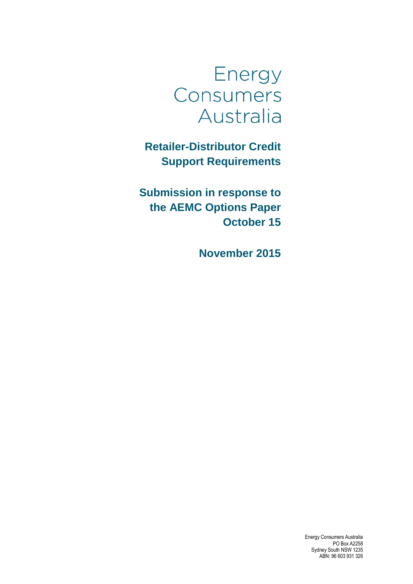

**Retailer-Distributor Credit Support Requirements**

**Submission in response to the AEMC Options Paper October 15**

**November 2015**

Energy Consumers Australia PO Box A2258 Sydney South NSW 1235 ABN: 96 603 931 326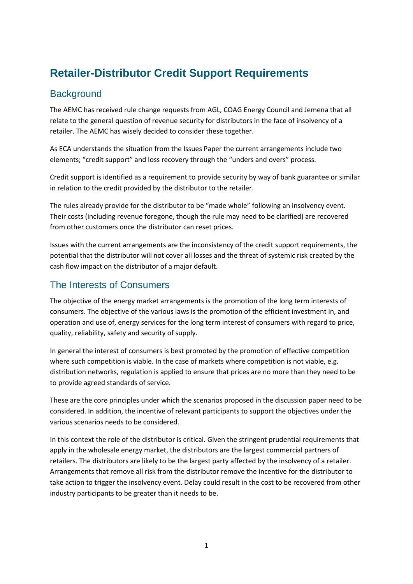## **Retailer-Distributor Credit Support Requirements**

## **Background**

The AEMC has received rule change requests from AGL, COAG Energy Council and Jemena that all relate to the general question of revenue security for distributors in the face of insolvency of a retailer. The AEMC has wisely decided to consider these together.

As ECA understands the situation from the Issues Paper the current arrangements include two elements; "credit support" and loss recovery through the "unders and overs" process.

Credit support is identified as a requirement to provide security by way of bank guarantee or similar in relation to the credit provided by the distributor to the retailer.

The rules already provide for the distributor to be "made whole" following an insolvency event. Their costs (including revenue foregone, though the rule may need to be clarified) are recovered from other customers once the distributor can reset prices.

Issues with the current arrangements are the inconsistency of the credit support requirements, the potential that the distributor will not cover all losses and the threat of systemic risk created by the cash flow impact on the distributor of a major default.

## The Interests of Consumers

The objective of the energy market arrangements is the promotion of the long term interests of consumers. The objective of the various laws is the promotion of the efficient investment in, and operation and use of, energy services for the long term interest of consumers with regard to price, quality, reliability, safety and security of supply.

In general the interest of consumers is best promoted by the promotion of effective competition where such competition is viable. In the case of markets where competition is not viable, e.g. distribution networks, regulation is applied to ensure that prices are no more than they need to be to provide agreed standards of service.

These are the core principles under which the scenarios proposed in the discussion paper need to be considered. In addition, the incentive of relevant participants to support the objectives under the various scenarios needs to be considered.

In this context the role of the distributor is critical. Given the stringent prudential requirements that apply in the wholesale energy market, the distributors are the largest commercial partners of retailers. The distributors are likely to be the largest party affected by the insolvency of a retailer. Arrangements that remove all risk from the distributor remove the incentive for the distributor to take action to trigger the insolvency event. Delay could result in the cost to be recovered from other industry participants to be greater than it needs to be.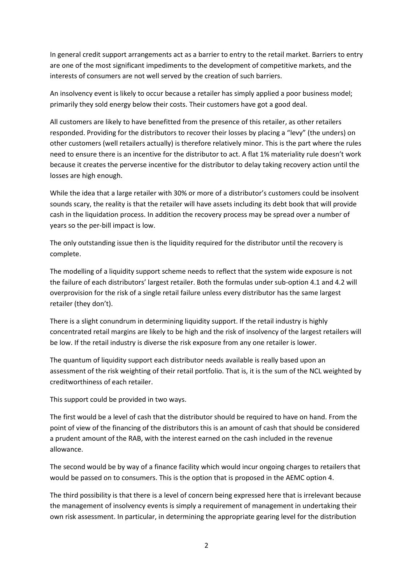In general credit support arrangements act as a barrier to entry to the retail market. Barriers to entry are one of the most significant impediments to the development of competitive markets, and the interests of consumers are not well served by the creation of such barriers.

An insolvency event is likely to occur because a retailer has simply applied a poor business model; primarily they sold energy below their costs. Their customers have got a good deal.

All customers are likely to have benefitted from the presence of this retailer, as other retailers responded. Providing for the distributors to recover their losses by placing a "levy" (the unders) on other customers (well retailers actually) is therefore relatively minor. This is the part where the rules need to ensure there is an incentive for the distributor to act. A flat 1% materiality rule doesn't work because it creates the perverse incentive for the distributor to delay taking recovery action until the losses are high enough.

While the idea that a large retailer with 30% or more of a distributor's customers could be insolvent sounds scary, the reality is that the retailer will have assets including its debt book that will provide cash in the liquidation process. In addition the recovery process may be spread over a number of years so the per-bill impact is low.

The only outstanding issue then is the liquidity required for the distributor until the recovery is complete.

The modelling of a liquidity support scheme needs to reflect that the system wide exposure is not the failure of each distributors' largest retailer. Both the formulas under sub-option 4.1 and 4.2 will overprovision for the risk of a single retail failure unless every distributor has the same largest retailer (they don't).

There is a slight conundrum in determining liquidity support. If the retail industry is highly concentrated retail margins are likely to be high and the risk of insolvency of the largest retailers will be low. If the retail industry is diverse the risk exposure from any one retailer is lower.

The quantum of liquidity support each distributor needs available is really based upon an assessment of the risk weighting of their retail portfolio. That is, it is the sum of the NCL weighted by creditworthiness of each retailer.

This support could be provided in two ways.

The first would be a level of cash that the distributor should be required to have on hand. From the point of view of the financing of the distributors this is an amount of cash that should be considered a prudent amount of the RAB, with the interest earned on the cash included in the revenue allowance.

The second would be by way of a finance facility which would incur ongoing charges to retailers that would be passed on to consumers. This is the option that is proposed in the AEMC option 4.

The third possibility is that there is a level of concern being expressed here that is irrelevant because the management of insolvency events is simply a requirement of management in undertaking their own risk assessment. In particular, in determining the appropriate gearing level for the distribution